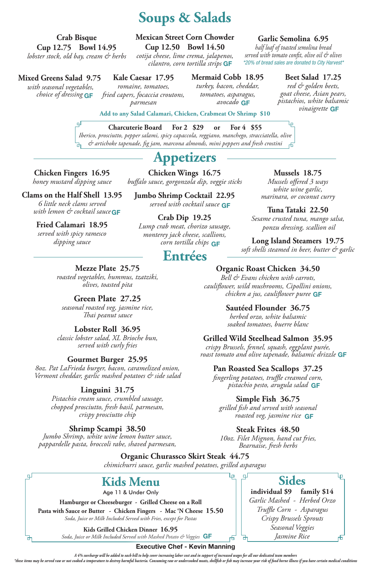**Chicken Fingers 16.95** *honey mustard dipping sauce*

# **Clams on the Half Shell 13.95**

#### **Fried Calamari 18.95** *served with spicy ramesco dipping sauce*

# **Mussels 18.75**

Ļp.

*Mussels offered 3 ways white wine garlic, marinara, or coconut curry*

**Tuna Tataki 22.50**

#### *Sesame crusted tuna, mango salsa, ponzu dressing, scallion oil*

#### **Long Island Steamers****19.75**  *soft shells steamed in beer, butter & garlic*

**Hamburger or Cheeseburger - Grilled Cheese on a Roll Pasta with Sauce or Butter - Chicken Fingers - Mac 'N Cheese 15.50**  *Soda, Juice or Milk Included Served with Fries, except for Pastas*

**Add to any Salad Calamari, Chicken, Crabmeat Or Shrimp \$10**

# **Sides**

Ļρ

市

**individual \$9 family \$14** *Garlic Mashed - Herbed Orzo Truffle Corn - Asparagus Crispy Brussels Sprouts Seasonal Veggies Jasmine Rice*

#### **Executive Chef - Kevin Manning**

*A 4% surcharge will be added to each bill to help cover increasing labor cost and in support of increased wages for all our dedicated team members*

\*these items may be served raw or not cooked a temperature to destroy harmful bacteria. Consuming raw or undercooked meats, shellfish or fish may increase your risk of food borne illness if you have certain medical conditi

*6 little neck clams served with lemon & cocktail sauce* **GF**

### **Garlic Semolina 6.95**

*half loaf of toasted semolina bread served with tomato confit, olive oil & olives \*20% of bread sales are donated to City Harvest\**

# **Mermaid Cobb 18.95**

# *turkey, bacon, cheddar,*

*tomatoes, asparagus,* 

## **Beet Salad 17.25**

# **Appetizers**

# **Entrées**

### **Mixed Greens Salad 9.75**

**Kale Caesar 17.95**

*romaine, tomatoes, fried capers, focaccia croutons, parmesan*

# **Soups & Salads**

# **Mexican Street Corn Chowder**

*avocado* **GF**

*red & golden beets, goat cheese, Asian pears, pistachios, white balsamic vinaigrette* **GF**

 *with seasonal vegetables, choice of dressing* **GF**

**Crab Bisque Cup 12.75 Bowl 14.95** *lobster stock, old bay, cream & herbs* 

#### **Charcuterie Board For 2 \$29 or For 4 \$55** *Iberico, prosciutto, pepper salami, spicy capaccola, reggiano, manchego, stracciatella, olive*

*& artichoke tapenade, fig jam, marcona almonds, mini peppers and fresh crostini*

**Kids Grilled Chicken Dinner 16.95** *Soda, Juice or Milk Included Served with Mashed Potato & Veggies* **GF**

# **Kids Menu**

Age 11 & Under Only

### **Mezze Plate 25.75**

*roasted vegetables, hummus, tzatziki, olives, toasted pita*

## **Green Plate 27.25**

*seasonal roasted veg, jasmine rice, Thai peanut sauce*

#### **Lobster Roll 36.95** *classic lobster salad, XL Brioche bun, served with curly fries*

### **Gourmet Burger 25.95**

*8oz. Pat LaFrieda burger, bacon, caramelized onion, Vermont cheddar, garlic mashed potatoes & side salad*

**GF** *chicken a jus, cauliflower puree Bell & Evans chicken with carrots, cauliflower, wild mushrooms, Cipollini onions,* 

### **Linguini 31.75**

*Pistachio cream sauce, crumbled sausage, chopped prosciutto, fresh basil, parmesan, crispy prosciutto chip* 

**GF** *roast tomato and olive tapenade, balsamic drizzle crispy Brussels, fennel, squash, eggplant purée,* 

**GF** *pistachio pesto, arugula salad fingerling potatoes, truffle creamed corn,* 

**Shrimp Scampi 38.50** *Jumbo Shrimp, white wine lemon butter sauce, pappardelle pasta, broccoli rabe, shaved parmesan,*

로

о

**Cup 12.50 Bowl 14.50** *cotija cheese, lime crema, jalapenos, cilantro, corn tortilla strips* **GF**

## **Organic Roast Chicken 34.50**

**GF** *served with cocktail sauce* **Jumbo Shrimp Cocktail 22.95**

### **Sautéed Flounder 36.75**

*herbed orzo, white balsamic soaked tomatoes, buerre blanc*

### **Grilled Wild Steelhead Salmon 35.95**

### **Pan Roasted Sea Scallops 37.25**

### **Simple Fish 36.75**

### **Steak Frites 48.50**

*10oz. Filet Mignon, hand cut fries, Bearnaise, fresh herbs*

Lр.

்டி

₫

### **Organic Churassco Skirt Steak 44.75**

*chimichurri sauce, garlic mashed potatoes, grilled asparagus*

*grilled fish and served with seasonal roasted veg, jasmine rice* **GF**

**Chicken Wings 16.75** *buffalo sauce, gorgonzola dip, veggie sticks*

#### **Crab Dip 19.25** *Lump crab meat, chorizo sausage, monterey jack cheese, scallions, corn tortilla chips*  **GF**